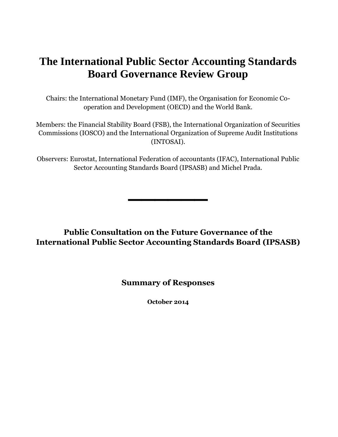# **The International Public Sector Accounting Standards Board Governance Review Group**

Chairs: the International Monetary Fund (IMF), the Organisation for Economic Cooperation and Development (OECD) and the World Bank.

Members: the Financial Stability Board (FSB), the International Organization of Securities Commissions (IOSCO) and the International Organization of Supreme Audit Institutions (INTOSAI).

Observers: Eurostat, International Federation of accountants (IFAC), International Public Sector Accounting Standards Board (IPSASB) and Michel Prada.

**\_\_\_\_\_\_**

**Public Consultation on the Future Governance of the International Public Sector Accounting Standards Board (IPSASB)**

## **Summary of Responses**

**October 2014**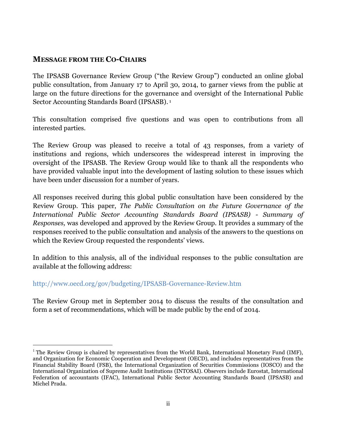### **MESSAGE FROM THE CO-CHAIRS**

 $\overline{a}$ 

The IPSASB Governance Review Group ("the Review Group") conducted an online global public consultation, from January 17 to April 30, 2014, to garner views from the public at large on the future directions for the governance and oversight of the International Public Sector Accounting Standards Board (IPSASB). 1

This consultation comprised five questions and was open to contributions from all interested parties.

The Review Group was pleased to receive a total of 43 responses, from a variety of institutions and regions, which underscores the widespread interest in improving the oversight of the IPSASB. The Review Group would like to thank all the respondents who have provided valuable input into the development of lasting solution to these issues which have been under discussion for a number of years.

All responses received during this global public consultation have been considered by the Review Group. This paper, *The Public Consultation on the Future Governance of the International Public Sector Accounting Standards Board (IPSASB) - Summary of Responses,* was developed and approved by the Review Group. It provides a summary of the responses received to the public consultation and analysis of the answers to the questions on which the Review Group requested the respondents' views.

In addition to this analysis, all of the individual responses to the public consultation are available at the following address:

#### http://www.oecd.org/gov/budgeting/IPSASB-Governance-Review.htm

The Review Group met in September 2014 to discuss the results of the consultation and form a set of recommendations, which will be made public by the end of 2014.

 $1$  The Review Group is chaired by representatives from the World Bank, International Monetary Fund (IMF), and Organization for Economic Cooperation and Development (OECD), and includes representatives from the Financial Stability Board (FSB), the International Organization of Securities Commissions (IOSCO) and the International Organization of Supreme Audit Institutions (INTOSAI). Obsevers include Eurostat, International Federation of accountants (IFAC), International Public Sector Accounting Standards Board (IPSASB) and Michel Prada.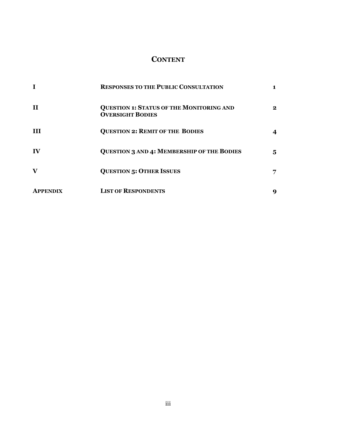# **CONTENT**

|                 | <b>RESPONSES TO THE PUBLIC CONSULTATION</b>                                |          |
|-----------------|----------------------------------------------------------------------------|----------|
| $\mathbf{H}$    | <b>QUESTION 1: STATUS OF THE MONITORING AND</b><br><b>OVERSIGHT BODIES</b> | $\bf{2}$ |
| <b>III</b>      | <b>QUESTION 2: REMIT OF THE BODIES</b>                                     |          |
| IV              | <b>QUESTION 3 AND 4: MEMBERSHIP OF THE BODIES</b>                          | 5.       |
| $\mathbf{V}$    | <b>QUESTION 5: OTHER ISSUES</b>                                            | 7        |
| <b>APPENDIX</b> | <b>LIST OF RESPONDENTS</b>                                                 | 9        |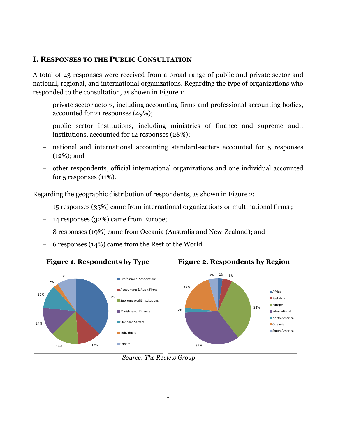#### **I. RESPONSES TO THE PUBLIC CONSULTATION**

A total of 43 responses were received from a broad range of public and private sector and national, regional, and international organizations. Regarding the type of organizations who responded to the consultation, as shown in Figure 1:

- private sector actors, including accounting firms and professional accounting bodies, accounted for 21 responses (49%);
- public sector institutions, including ministries of finance and supreme audit institutions, accounted for 12 responses (28%);
- national and international accounting standard-setters accounted for 5 responses (12%); and
- other respondents, official international organizations and one individual accounted for  $5$  responses  $(11\%)$ .

Regarding the geographic distribution of respondents, as shown in Figure 2:

- 15 responses (35%) came from international organizations or multinational firms ;
- 14 responses (32%) came from Europe;
- 8 responses (19%) came from Oceania (Australia and New-Zealand); and
- 6 responses (14%) came from the Rest of the World.

#### Figure 1. Respondents by Type Figure 2. Respondents by Region



*Source: The Review Group*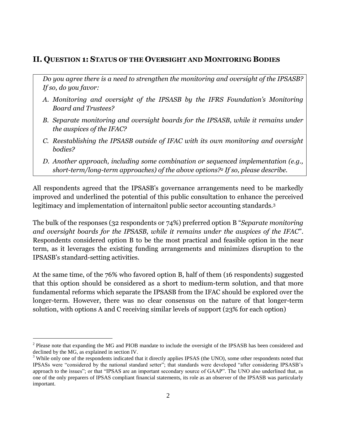# **II. QUESTION 1: STATUS OF THE OVERSIGHT AND MONITORING BODIES**

*Do you agree there is a need to strengthen the monitoring and oversight of the IPSASB? If so, do you favor:*

- *A. Monitoring and oversight of the IPSASB by the IFRS Foundation's Monitoring Board and Trustees?*
- *B. Separate monitoring and oversight boards for the IPSASB, while it remains under the auspices of the IFAC?*
- *C. Reestablishing the IPSASB outside of IFAC with its own monitoring and oversight bodies?*
- *D. Another approach, including some combination or sequenced implementation (e.g., short-term/long-term approaches) of the above options?<sup>2</sup> If so, please describe.*

All respondents agreed that the IPSASB's governance arrangements need to be markedly improved and underlined the potential of this public consultation to enhance the perceived legitimacy and implementation of internaitonl public sector accounting standards. 3

The bulk of the responses (32 respondents or 74%) preferred option B "*Separate monitoring and oversight boards for the IPSASB, while it remains under the auspices of the IFAC*". Respondents considered option B to be the most practical and feasible option in the near term, as it leverages the existing funding arrangements and minimizes disruption to the IPSASB's standard-setting activities.

At the same time, of the 76% who favored option B, half of them (16 respondents) suggested that this option should be considered as a short to medium-term solution, and that more fundamental reforms which separate the IPSASB from the IFAC should be explored over the longer-term. However, there was no clear consensus on the nature of that longer-term solution, with options A and C receiving similar levels of support (23% for each option)

 $\overline{a}$ 

 $2$  Please note that expanding the MG and PIOB mandate to include the oversight of the IPSASB has been considered and declined by the MG, as explained in section IV.

<sup>&</sup>lt;sup>3</sup> While only one of the respondents indicated that it directly applies IPSAS (the UNO), some other respondents noted that IPSASs were "considered by the national standard setter"; that standards were developed "after considering IPSASB's approach to the issues"; or that "IPSAS are an important secondary source of GAAP". The UNO also underlined that, as one of the only preparers of IPSAS compliant financial statements, its role as an observer of the IPSASB was particularly important.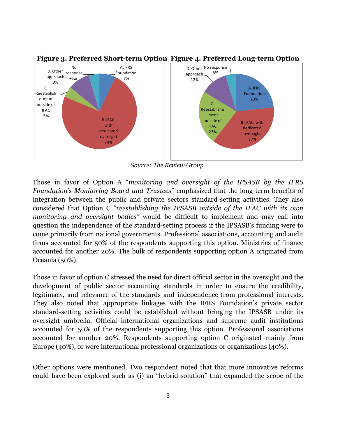

**Figure 3. Preferred Short-term Option Figure 4. Preferred Long-term Option** 

*Source: The Review Group*

Those in favor of Option A "*monitoring and oversight of the IPSASB by the IFRS Foundation's Monitoring Board and Trustees*" emphasized that the long-term benefits of integration between the public and private sectors standard-setting activities. They also considered that Option C "*reestablishing the IPSASB outside of the IFAC with its own monitoring and oversight bodies"* would be difficult to implement and may call into question the independence of the standard-setting process if the IPSASB's funding were to come primarily from national governments. Professional associations, accounting and audit firms accounted for 50% of the respondents supporting this option. Ministries of finance accounted for another 20%. The bulk of respondents supporting option A originated from Oceania (50%).

Those in favor of option C stressed the need for direct official sector in the oversight and the development of public sector accounting standards in order to ensure the credibility, legitimacy, and relevance of the standards and independence from professional interests. They also noted that appropriate linkages with the IFRS Foundation's private sector standard-setting activities could be established without bringing the IPSASB under its oversight umbrella. Official international organizations and supreme audit institutions accounted for 50% of the respondents supporting this option. Professional associations accounted for another 20%. Respondents supporting option C originated mainly from Europe (40%), or were international professional organizations or organizations (40%).

Other options were mentioned. Two respondent noted that that more innovative reforms could have been explored such as (i) an "hybrid solution" that expanded the scope of the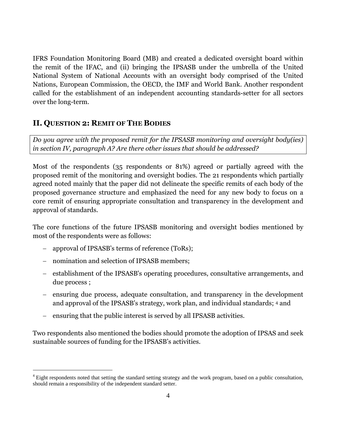IFRS Foundation Monitoring Board (MB) and created a dedicated oversight board within the remit of the IFAC, and (ii) bringing the IPSASB under the umbrella of the United National System of National Accounts with an oversight body comprised of the United Nations, European Commission, the OECD, the IMF and World Bank. Another respondent called for the establishment of an independent accounting standards-setter for all sectors over the long-term.

## **II. QUESTION 2: REMIT OF THE BODIES**

*Do you agree with the proposed remit for the IPSASB monitoring and oversight body(ies) in section IV, paragraph A? Are there other issues that should be addressed?*

Most of the respondents (35 respondents or 81%) agreed or partially agreed with the proposed remit of the monitoring and oversight bodies. The 21 respondents which partially agreed noted mainly that the paper did not delineate the specific remits of each body of the proposed governance structure and emphasized the need for any new body to focus on a core remit of ensuring appropriate consultation and transparency in the development and approval of standards.

The core functions of the future IPSASB monitoring and oversight bodies mentioned by most of the respondents were as follows:

- approval of IPSASB's terms of reference (ToRs);
- nomination and selection of IPSASB members;

 $\overline{a}$ 

- establishment of the IPSASB's operating procedures, consultative arrangements, and due process ;
- ensuring due process, adequate consultation, and transparency in the development and approval of the IPSASB's strategy, work plan, and individual standards; <sup>4</sup> and
- ensuring that the public interest is served by all IPSASB activities.

Two respondents also mentioned the bodies should promote the adoption of IPSAS and seek sustainable sources of funding for the IPSASB's activities.

 $<sup>4</sup>$  Eight respondents noted that setting the standard setting strategy and the work program, based on a public consultation,</sup> should remain a responsibility of the independent standard setter.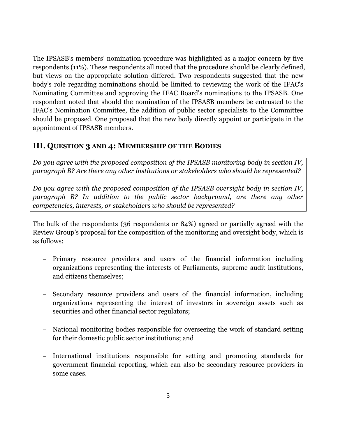The IPSASB's members' nomination procedure was highlighted as a major concern by five respondents (11%). These respondents all noted that the procedure should be clearly defined, but views on the appropriate solution differed. Two respondents suggested that the new body's role regarding nominations should be limited to reviewing the work of the IFAC's Nominating Committee and approving the IFAC Board's nominations to the IPSASB. One respondent noted that should the nomination of the IPSASB members be entrusted to the IFAC's Nomination Committee, the addition of public sector specialists to the Committee should be proposed. One proposed that the new body directly appoint or participate in the appointment of IPSASB members.

## **III. QUESTION 3 AND 4: MEMBERSHIP OF THE BODIES**

*Do you agree with the proposed composition of the IPSASB monitoring body in section IV, paragraph B? Are there any other institutions or stakeholders who should be represented?* 

*Do you agree with the proposed composition of the IPSASB oversight body in section IV, paragraph B? In addition to the public sector background, are there any other competencies, interests, or stakeholders who should be represented?*

The bulk of the respondents (36 respondents or 84%) agreed or partially agreed with the Review Group's proposal for the composition of the monitoring and oversight body, which is as follows:

- Primary resource providers and users of the financial information including organizations representing the interests of Parliaments, supreme audit institutions, and citizens themselves;
- Secondary resource providers and users of the financial information, including organizations representing the interest of investors in sovereign assets such as securities and other financial sector regulators;
- National monitoring bodies responsible for overseeing the work of standard setting for their domestic public sector institutions; and
- International institutions responsible for setting and promoting standards for government financial reporting, which can also be secondary resource providers in some cases.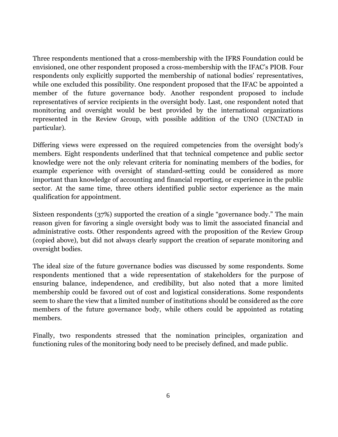Three respondents mentioned that a cross-membership with the IFRS Foundation could be envisioned, one other respondent proposed a cross-membership with the IFAC's PIOB. Four respondents only explicitly supported the membership of national bodies' representatives, while one excluded this possibility. One respondent proposed that the IFAC be appointed a member of the future governance body. Another respondent proposed to include representatives of service recipients in the oversight body. Last, one respondent noted that monitoring and oversight would be best provided by the international organizations represented in the Review Group, with possible addition of the UNO (UNCTAD in particular).

Differing views were expressed on the required competencies from the oversight body's members. Eight respondents underlined that that technical competence and public sector knowledge were not the only relevant criteria for nominating members of the bodies, for example experience with oversight of standard-setting could be considered as more important than knowledge of accounting and financial reporting, or experience in the public sector. At the same time, three others identified public sector experience as the main qualification for appointment.

Sixteen respondents (37%) supported the creation of a single "governance body." The main reason given for favoring a single oversight body was to limit the associated financial and administrative costs. Other respondents agreed with the proposition of the Review Group (copied above), but did not always clearly support the creation of separate monitoring and oversight bodies.

The ideal size of the future governance bodies was discussed by some respondents. Some respondents mentioned that a wide representation of stakeholders for the purpose of ensuring balance, independence, and credibility, but also noted that a more limited membership could be favored out of cost and logistical considerations. Some respondents seem to share the view that a limited number of institutions should be considered as the core members of the future governance body, while others could be appointed as rotating members.

Finally, two respondents stressed that the nomination principles, organization and functioning rules of the monitoring body need to be precisely defined, and made public.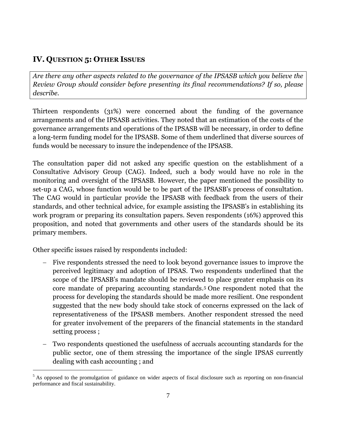# **IV. QUESTION 5: OTHER ISSUES**

*Are there any other aspects related to the governance of the IPSASB which you believe the Review Group should consider before presenting its final recommendations? If so, please describe.*

Thirteen respondents (31%) were concerned about the funding of the governance arrangements and of the IPSASB activities. They noted that an estimation of the costs of the governance arrangements and operations of the IPSASB will be necessary, in order to define a long-term funding model for the IPSASB. Some of them underlined that diverse sources of funds would be necessary to insure the independence of the IPSASB.

The consultation paper did not asked any specific question on the establishment of a Consultative Advisory Group (CAG). Indeed, such a body would have no role in the monitoring and oversight of the IPSASB. However, the paper mentioned the possibility to set-up a CAG, whose function would be to be part of the IPSASB's process of consultation. The CAG would in particular provide the IPSASB with feedback from the users of their standards, and other technical advice, for example assisting the IPSASB's in establishing its work program or preparing its consultation papers. Seven respondents (16%) approved this proposition, and noted that governments and other users of the standards should be its primary members.

Other specific issues raised by respondents included:

 $\overline{a}$ 

- Five respondents stressed the need to look beyond governance issues to improve the perceived legitimacy and adoption of IPSAS. Two respondents underlined that the scope of the IPSASB's mandate should be reviewed to place greater emphasis on its core mandate of preparing accounting standards. <sup>5</sup> One respondent noted that the process for developing the standards should be made more resilient. One respondent suggested that the new body should take stock of concerns expressed on the lack of representativeness of the IPSASB members. Another respondent stressed the need for greater involvement of the preparers of the financial statements in the standard setting process ;
- Two respondents questioned the usefulness of accruals accounting standards for the public sector, one of them stressing the importance of the single IPSAS currently dealing with cash accounting ; and

 $<sup>5</sup>$  As opposed to the promulgation of guidance on wider aspects of fiscal disclosure such as reporting on non-financial</sup> performance and fiscal sustainability.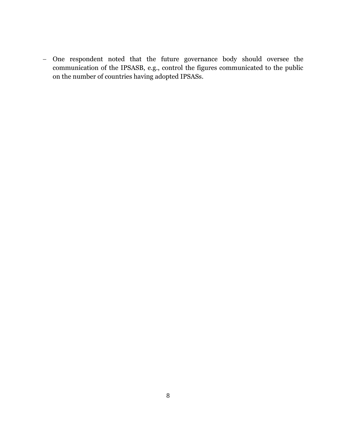One respondent noted that the future governance body should oversee the communication of the IPSASB, e.g., control the figures communicated to the public on the number of countries having adopted IPSASs.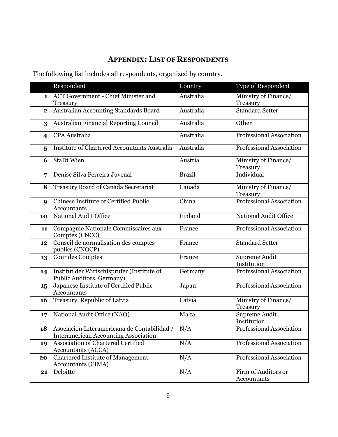# **APPENDIX: LIST OF RESPONDENTS**

The following list includes all respondents, organized by country.

|                         | Respondent                                                                                     | Country       | Type of Respondent                 |
|-------------------------|------------------------------------------------------------------------------------------------|---------------|------------------------------------|
| $\mathbf{1}$            | <b>ACT Government - Chief Minister and</b><br>Treasury                                         | Australia     | Ministry of Finance/<br>Treasury   |
| $\mathbf{2}$            | Australian Accounting Standards Board                                                          | Australia     | <b>Standard Setter</b>             |
| 3                       | Australian Financial Reporting Council                                                         | Australia     | Other                              |
| $\overline{\mathbf{4}}$ | <b>CPA</b> Australia                                                                           | Australia     | Professional Association           |
| 5                       | <b>Institute of Chartered Accountants Australia</b>                                            | Australia     | <b>Professional Association</b>    |
| 6                       | <b>StaDt Wien</b>                                                                              | Austria       | Ministry of Finance/<br>Treasury   |
| 7                       | Denise Silva Ferreira Juvenal                                                                  | <b>Brazil</b> | Individual                         |
| 8                       | Treasury Board of Canada Secretariat                                                           | Canada        | Ministry of Finance/<br>Treasury   |
| $\boldsymbol{Q}$        | <b>Chinese Institute of Certified Public</b><br><b>Accountants</b>                             | China         | Professional Association           |
| 10                      | National Audit Office                                                                          | Finland       | <b>National Audit Office</b>       |
| 11                      | Compagnie Nationale Commissaires aux<br>Comptes (CNCC)                                         | France        | Professional Association           |
| 12                      | Conseil de normalisation des comptes<br>publics (CNOCP)                                        | France        | <b>Standard Setter</b>             |
| 13                      | Cour des Comptes                                                                               | France        | Supreme Audit<br>Institution       |
| 14                      | Institut der Wirtschfsprufer (Institute of<br>Public Auditors, Germany)                        | Germany       | Professional Association           |
| 15                      | Japanese Institute of Certified Public<br>Accountants                                          | Japan         | Professional Association           |
| <b>16</b>               | Treasury, Republic of Latvia                                                                   | Latvia        | Ministry of Finance/<br>Treasury   |
| 17                      | National Audit Office (NAO)                                                                    | Malta         | Supreme Audit<br>Institution       |
| 18                      | Asociacion Interamericana de Contabilidad / N/A<br><b>Interamerican Accounting Association</b> |               | Professional Association           |
| 19                      | Association of Chartered Certified<br><b>Accountants (ACCA)</b>                                | N/A           | Professional Association           |
| 20                      | <b>Chartered Institute of Management</b><br><b>Accountants (CIMA)</b>                          | N/A           | Professional Association           |
| 21                      | Deloitte                                                                                       | N/A           | Firm of Auditors or<br>Accountants |